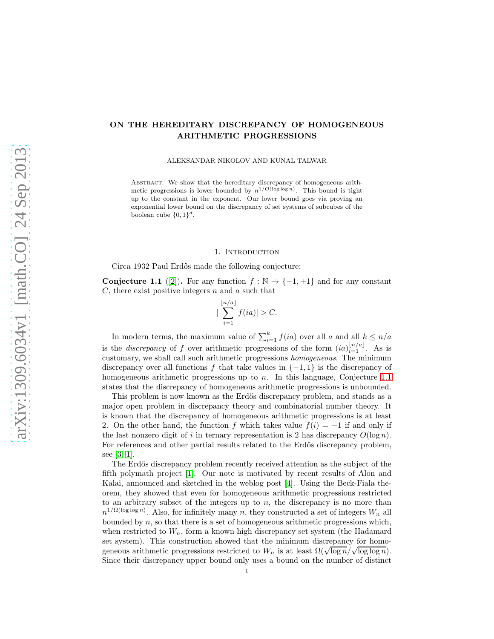### ON THE HEREDITARY DISCREPANCY OF HOMOGENEOUS ARITHMETIC PROGRESSIONS

ALEKSANDAR NIKOLOV AND KUNAL TALWAR

ABSTRACT. We show that the hereditary discrepancy of homogeneous arithmetic progressions is lower bounded by  $n^{1/O(\log \log n)}$ . This bound is tight up to the constant in the exponent. Our lower bound goes via proving an exponential lower bound on the discrepancy of set systems of subcubes of the boolean cube  $\{0,1\}^d$ .

### 1. INTRODUCTION

Circa 1932 Paul Erd˝os made the following conjecture:

<span id="page-0-0"></span>**Conjecture 1.1** ([\[2\]](#page-5-0)). For any function  $f : \mathbb{N} \to \{-1, +1\}$  and for any constant  $C$ , there exist positive integers  $n$  and  $a$  such that

$$
\left|\sum_{i=1}^{\lfloor n/a\rfloor} f(ia)\right| > C.
$$

In modern terms, the maximum value of  $\sum_{i=1}^{k} f(ia)$  over all a and all  $k \leq n/a$ is the *discrepancy* of f over arithmetic progressions of the form  $(ia)_{i=1}^{\lfloor n/a \rfloor}$ . As is customary, we shall call such arithmetic progressions homogeneous. The minimum discrepancy over all functions f that take values in  $\{-1, 1\}$  is the discrepancy of homogeneous arithmetic progressions up to n. In this language, Conjecture [1.1](#page-0-0) states that the discrepancy of homogeneous arithmetic progressions is unbounded.

This problem is now known as the Erdős discrepancy problem, and stands as a major open problem in discrepancy theory and combinatorial number theory. It is known that the discrepancy of homogeneous arithmetic progressions is at least 2. On the other hand, the function f which takes value  $f(i) = -1$  if and only if the last nonzero digit of i in ternary representation is 2 has discrepancy  $O(\log n)$ . For references and other partial results related to the Erdős discrepancy problem, see [\[3,](#page-5-1) [1\]](#page-5-2).

The Erdős discrepancy problem recently received attention as the subject of the fifth polymath project [\[1\]](#page-5-2). Our note is motivated by recent results of Alon and Kalai, announced and sketched in the weblog post [\[4\]](#page-5-3). Using the Beck-Fiala theorem, they showed that even for homogeneous arithmetic progressions restricted to an arbitrary subset of the integers up to  $n$ , the discrepancy is no more than  $n^{1/\Omega(\log \log n)}$ . Also, for infinitely many n, they constructed a set of integers  $W_n$  all bounded by  $n$ , so that there is a set of homogeneous arithmetic progressions which, when restricted to  $W_n$ , form a known high discrepancy set system (the Hadamard set system). This construction showed that the minimum discrepancy for homogeneous arithmetic progressions restricted to  $W_n$  is at least  $\Omega(\sqrt{\log n}/\sqrt{\log \log n})$ . Since their discrepancy upper bound only uses a bound on the number of distinct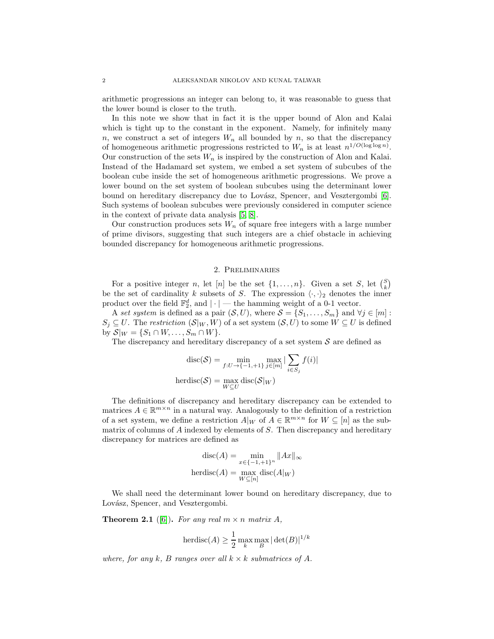arithmetic progressions an integer can belong to, it was reasonable to guess that the lower bound is closer to the truth.

In this note we show that in fact it is the upper bound of Alon and Kalai which is tight up to the constant in the exponent. Namely, for infinitely many n, we construct a set of integers  $W_n$  all bounded by n, so that the discrepancy of homogeneous arithmetic progressions restricted to  $W_n$  is at least  $n^{1/O(\log \log n)}$ . Our construction of the sets  $W_n$  is inspired by the construction of Alon and Kalai. Instead of the Hadamard set system, we embed a set system of subcubes of the boolean cube inside the set of homogeneous arithmetic progressions. We prove a lower bound on the set system of boolean subcubes using the determinant lower bound on hereditary discrepancy due to Lovász, Spencer, and Vesztergombi [\[6\]](#page-5-4). Such systems of boolean subcubes were previously considered in computer science in the context of private data analysis [\[5,](#page-5-5) [8\]](#page-5-6).

Our construction produces sets  $W_n$  of square free integers with a large number of prime divisors, suggesting that such integers are a chief obstacle in achieving bounded discrepancy for homogeneous arithmetic progressions.

### 2. Preliminaries

For a positive integer *n*, let [*n*] be the set  $\{1, \ldots, n\}$ . Given a set *S*, let  $\binom{S}{k}$ be the set of cardinality k subsets of S. The expression  $\langle \cdot, \cdot \rangle_2$  denotes the inner product over the field  $\mathbb{F}_2^d$ , and  $|\cdot|$  — the hamming weight of a 0-1 vector.

A set system is defined as a pair  $(S, U)$ , where  $S = \{S_1, \ldots, S_m\}$  and  $\forall j \in [m]$ :  $S_j \subseteq U$ . The restriction  $(\mathcal{S}|_W, W)$  of a set system  $(\mathcal{S}, U)$  to some  $W \subseteq U$  is defined by  $S|_W = \{S_1 \cap W, \ldots, S_m \cap W\}.$ 

The discrepancy and hereditary discrepancy of a set system  $S$  are defined as

$$
\text{disc}(\mathcal{S}) = \min_{f:U \to \{-1,+1\}} \max_{j \in [m]} |\sum_{i \in S_j} f(i)|
$$
\n
$$
\text{herdisc}(\mathcal{S}) = \max_{W \subseteq U} \text{disc}(\mathcal{S}|_W)
$$

The definitions of discrepancy and hereditary discrepancy can be extended to matrices  $A \in \mathbb{R}^{m \times n}$  in a natural way. Analogously to the definition of a restriction of a set system, we define a restriction  $A|_W$  of  $A \in \mathbb{R}^{m \times n}$  for  $W \subseteq [n]$  as the submatrix of columns of  $A$  indexed by elements of  $S$ . Then discrepancy and hereditary discrepancy for matrices are defined as

$$
disc(A) = \min_{x \in \{-1, +1\}^n} \|Ax\|_{\infty}
$$
  
herdisc(A) = max 
$$
disc(A|W)
$$

We shall need the determinant lower bound on hereditary discrepancy, due to Lovász, Spencer, and Vesztergombi.

<span id="page-1-0"></span>**Theorem 2.1** ([\[6\]](#page-5-4)). For any real  $m \times n$  matrix A,

$$
\text{herdisc}(A) \ge \frac{1}{2} \max_{k} \max_{B} |\det(B)|^{1/k}
$$

where, for any k, B ranges over all  $k \times k$  submatrices of A.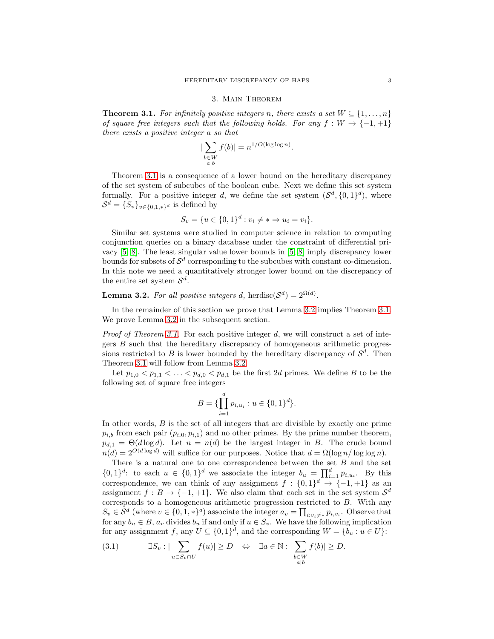### 3. Main Theorem

<span id="page-2-0"></span>**Theorem 3.1.** For infinitely positive integers n, there exists a set  $W \subseteq \{1, \ldots, n\}$ of square free integers such that the following holds. For any  $f : W \to \{-1, +1\}$ there exists a positive integer a so that

$$
\left|\sum_{\substack{b \in W \\ a|b}} f(b)\right| = n^{1/O(\log \log n)}.
$$

Theorem [3.1](#page-2-0) is a consequence of a lower bound on the hereditary discrepancy of the set system of subcubes of the boolean cube. Next we define this set system formally. For a positive integer d, we define the set system  $(S^d, \{0, 1\}^d)$ , where  $S^d = \{S_v\}_{v \in \{0,1,\ast\}^d}$  is defined by

$$
S_v = \{u \in \{0,1\}^d : v_i \neq * \Rightarrow u_i = v_i\}.
$$

Similar set systems were studied in computer science in relation to computing conjunction queries on a binary database under the constraint of differential privacy [\[5,](#page-5-5) [8\]](#page-5-6). The least singular value lower bounds in [\[5,](#page-5-5) [8\]](#page-5-6) imply discrepancy lower bounds for subsets of  $\mathcal{S}^d$  corresponding to the subcubes with constant co-dimension. In this note we need a quantitatively stronger lower bound on the discrepancy of the entire set system  $S^d$ .

## <span id="page-2-1"></span>**Lemma 3.2.** For all positive integers d, herdisc $(\mathcal{S}^d) = 2^{\Omega(d)}$ .

In the remainder of this section we prove that Lemma [3.2](#page-2-1) implies Theorem [3.1.](#page-2-0) We prove Lemma [3.2](#page-2-1) in the subsequent section.

*Proof of Theorem [3.1.](#page-2-0)* For each positive integer d, we will construct a set of integers B such that the hereditary discrepancy of homogeneous arithmetic progressions restricted to B is lower bounded by the hereditary discrepancy of  $\mathcal{S}^d$ . Then Theorem [3.1](#page-2-0) will follow from Lemma [3.2.](#page-2-1)

Let  $p_{1,0} < p_{1,1} < \ldots < p_{d,0} < p_{d,1}$  be the first 2d primes. We define B to be the following set of square free integers

$$
B = \{\prod_{i=1}^{d} p_{i,u_i} : u \in \{0,1\}^d\}.
$$

In other words,  $B$  is the set of all integers that are divisible by exactly one prime  $p_{i,b}$  from each pair  $(p_{i,0}, p_{i,1})$  and no other primes. By the prime number theorem,  $p_{d,1} = \Theta(d \log d)$ . Let  $n = n(d)$  be the largest integer in B. The crude bound  $n(d) = 2^{O(d \log d)}$  will suffice for our purposes. Notice that  $d = \Omega(\log n / \log \log n)$ .

There is a natural one to one correspondence between the set  $B$  and the set  $\{0,1\}^d$ : to each  $u \in \{0,1\}^d$  we associate the integer  $b_u = \prod_{i=1}^d p_{i,u_i}$ . By this correspondence, we can think of any assignment  $f : \{0,1\}^d \to \{-1,+1\}$  as an assignment  $f : B \to \{-1, +1\}$ . We also claim that each set in the set system  $S^d$ corresponds to a homogeneous arithmetic progression restricted to B. With any  $S_v \in \mathcal{S}^d$  (where  $v \in \{0, 1, *\}^d$ ) associate the integer  $a_v = \prod_{i:v_i \neq *} p_{i,v_i}$ . Observe that for any  $b_u \in B$ ,  $a_v$  divides  $b_u$  if and only if  $u \in S_v$ . We have the following implication for any assignment f, any  $U \subseteq \{0,1\}^d$ , and the corresponding  $W = \{b_u : u \in U\}$ :

<span id="page-2-2"></span>
$$
(3.1) \qquad \qquad \exists S_v : |\sum_{u \in S_v \cap U} f(u)| \ge D \quad \Leftrightarrow \quad \exists a \in \mathbb{N} : |\sum_{\substack{b \in W \\ a|b}} f(b)| \ge D.
$$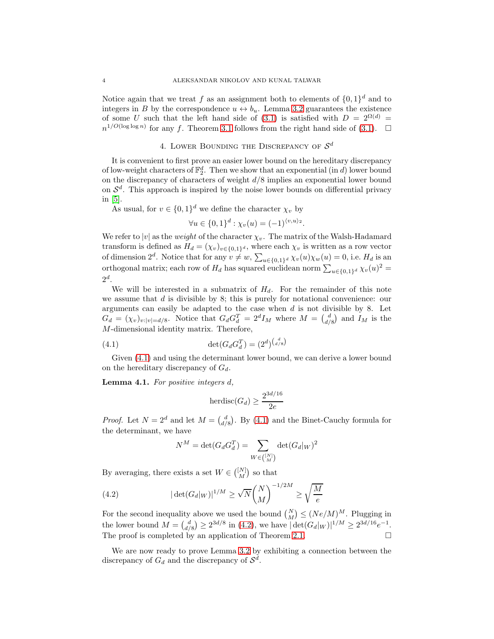Notice again that we treat f as an assignment both to elements of  $\{0,1\}^d$  and to integers in B by the correspondence  $u \leftrightarrow b_u$ . Lemma [3.2](#page-2-1) guarantees the existence of some U such that the left hand side of [\(3.1\)](#page-2-2) is satisfied with  $D = 2^{\Omega(d)} =$  $n^{1/O(\log \log n)}$  for any f. Theorem [3.1](#page-2-0) follows from the right hand side of [\(3.1\)](#page-2-2).  $\Box$ 

# 4. LOWER BOUNDING THE DISCREPANCY OF  $\mathcal{S}^d$

It is convenient to first prove an easier lower bound on the hereditary discrepancy of low-weight characters of  $\mathbb{F}_2^d$ . Then we show that an exponential (in d) lower bound on the discrepancy of characters of weight  $d/8$  implies an exponential lower bound on  $\mathcal{S}^d$ . This approach is inspired by the noise lower bounds on differential privacy in [\[5\]](#page-5-5).

As usual, for  $v \in \{0,1\}^d$  we define the character  $\chi_v$  by

$$
\forall u \in \{0,1\}^d : \chi_v(u) = (-1)^{\langle v, u \rangle_2}.
$$

We refer to  $|v|$  as the *weight* of the character  $\chi_v$ . The matrix of the Walsh-Hadamard transform is defined as  $H_d = (\chi_v)_{v \in \{0,1\}^d}$ , where each  $\chi_v$  is written as a row vector of dimension  $2^d$ . Notice that for any  $v \neq w$ ,  $\sum_{u \in \{0,1\}^d} \chi_v(u) \chi_w(u) = 0$ , i.e.  $H_d$  is an orthogonal matrix; each row of  $H_d$  has squared euclidean norm  $\sum_{u \in \{0,1\}^d} \chi_v(u)^2 =$  $2^d$ .

We will be interested in a submatrix of  $H_d$ . For the remainder of this note we assume that  $d$  is divisible by 8; this is purely for notational convenience: our arguments can easily be adapted to the case when  $d$  is not divisible by 8. Let  $G_d = (\chi_v)_{v:|v|=d/8}$ . Notice that  $G_d G_d^T = 2^d I_M$  where  $M = \begin{pmatrix} d \\ d/8 \end{pmatrix}$  and  $I_M$  is the M-dimensional identity matrix. Therefore,

(4.1) 
$$
\det(G_d G_d^T) = (2^d)^{\binom{d}{d/8}}
$$

Given [\(4.1\)](#page-3-0) and using the determinant lower bound, we can derive a lower bound on the hereditary discrepancy of  $G_d$ .

Lemma 4.1. For positive integers d,

<span id="page-3-0"></span>
$$
herdisc(G_d) \ge \frac{2^{3d/16}}{2e}
$$

*Proof.* Let  $N = 2^d$  and let  $M = \begin{pmatrix} d \\ d/8 \end{pmatrix}$ . By [\(4.1\)](#page-3-0) and the Binet-Cauchy formula for the determinant, we have

<span id="page-3-1"></span>
$$
N^M = \det(G_d G_d^T) = \sum_{W \in \binom{[N]}{M}} \det(G_d|_W)^2
$$

By averaging, there exists a set  $W \in \binom{[N]}{M}$  so that

(4.2) 
$$
|\det(G_d|_W)|^{1/M} \ge \sqrt{N} {N \choose M}^{-1/2M} \ge \sqrt{\frac{M}{e}}
$$

For the second inequality above we used the bound  $\binom{N}{M} \leq (Ne/M)^M$ . Plugging in the lower bound  $M = \binom{d}{d/8} \geq 2^{3d/8}$  in [\(4.2\)](#page-3-1), we have  $|\det(G_d|_W)|^{1/M} \geq 2^{3d/16}e^{-1}$ . The proof is completed by an application of Theorem [2.1.](#page-1-0)  $\Box$ 

We are now ready to prove Lemma [3.2](#page-2-1) by exhibiting a connection between the discrepancy of  $G_d$  and the discrepancy of  $\mathcal{S}^d$ .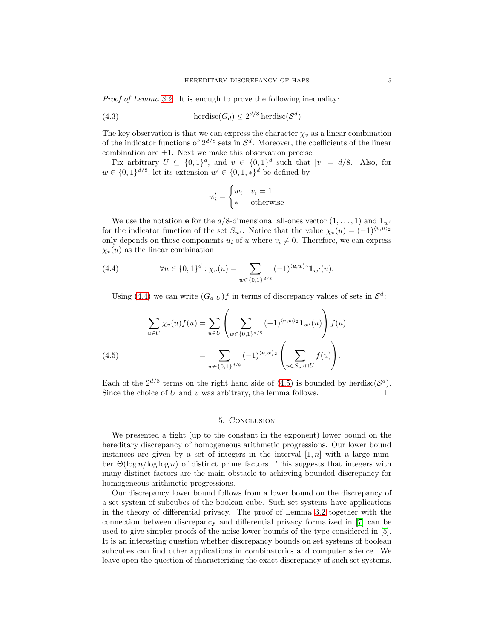Proof of Lemma [3.2.](#page-2-1) It is enough to prove the following inequality:

(4.3) 
$$
\text{herdisc}(G_d) \le 2^{d/8} \text{ herdisc}(\mathcal{S}^d)
$$

The key observation is that we can express the character  $\chi_v$  as a linear combination of the indicator functions of  $2^{d/8}$  sets in  $\mathcal{S}^d$ . Moreover, the coefficients of the linear combination are  $\pm 1$ . Next we make this observation precise.

Fix arbitrary  $U \subseteq \{0,1\}^d$ , and  $v \in \{0,1\}^d$  such that  $|v| = d/8$ . Also, for  $w \in \{0,1\}^{d/8}$ , let its extension  $w' \in \{0,1,\ast\}^d$  be defined by

$$
w_i' = \begin{cases} w_i & v_i = 1\\ * & \text{otherwise} \end{cases}
$$

We use the notation **e** for the  $d/8$ -dimensional all-ones vector  $(1, \ldots, 1)$  and  $\mathbf{1}_{w'}$ for the indicator function of the set  $S_{w'}$ . Notice that the value  $\chi_v(u) = (-1)^{\langle v, u \rangle_2}$ only depends on those components  $u_i$  of u where  $v_i \neq 0$ . Therefore, we can express  $\chi_v(u)$  as the linear combination

(4.4) 
$$
\forall u \in \{0,1\}^d : \chi_v(u) = \sum_{w \in \{0,1\}^{d/8}} (-1)^{\langle \mathbf{e}, w \rangle_2} \mathbf{1}_{w'}(u).
$$

<span id="page-4-0"></span>Using [\(4.4\)](#page-4-0) we can write  $(G_d|_U)f$  in terms of discrepancy values of sets in  $\mathcal{S}^d$ :

(4.5) 
$$
\sum_{u \in U} \chi_v(u) f(u) = \sum_{u \in U} \left( \sum_{w \in \{0,1\}^{d/8}} (-1)^{\langle \mathbf{e}, w \rangle_2} \mathbf{1}_{w'}(u) \right) f(u)
$$

$$
= \sum_{w \in \{0,1\}^{d/8}} (-1)^{\langle \mathbf{e}, w \rangle_2} \left( \sum_{u \in S_{w'} \cap U} f(u) \right).
$$

<span id="page-4-1"></span>Each of the  $2^{d/8}$  terms on the right hand side of [\(4.5\)](#page-4-1) is bounded by herdisc( $\mathcal{S}^d$ ). Since the choice of U and v was arbitrary, the lemma follows.  $\square$ 

### 5. Conclusion

We presented a tight (up to the constant in the exponent) lower bound on the hereditary discrepancy of homogeneous arithmetic progressions. Our lower bound instances are given by a set of integers in the interval  $[1, n]$  with a large number  $\Theta(\log n / \log \log n)$  of distinct prime factors. This suggests that integers with many distinct factors are the main obstacle to achieving bounded discrepancy for homogeneous arithmetic progressions.

Our discrepancy lower bound follows from a lower bound on the discrepancy of a set system of subcubes of the boolean cube. Such set systems have applications in the theory of differential privacy. The proof of Lemma [3.2](#page-2-1) together with the connection between discrepancy and differential privacy formalized in [\[7\]](#page-5-7) can be used to give simpler proofs of the noise lower bounds of the type considered in [\[5\]](#page-5-5). It is an interesting question whether discrepancy bounds on set systems of boolean subcubes can find other applications in combinatorics and computer science. We leave open the question of characterizing the exact discrepancy of such set systems.